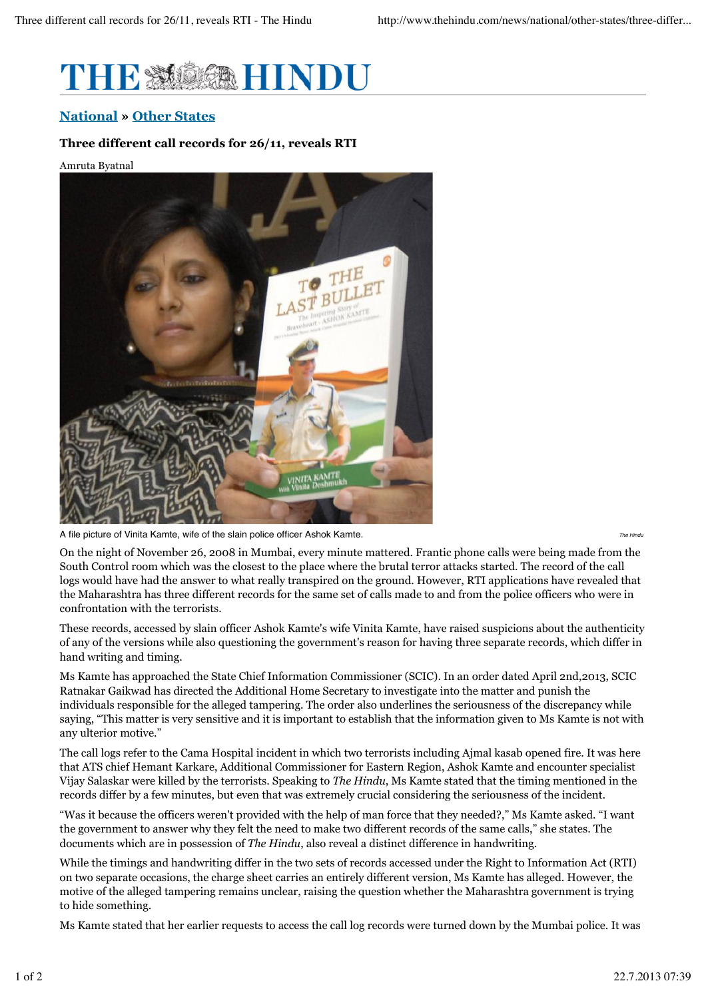

## **National » Other States**

## **Three different call records for 26/11, reveals RTI**

## Amruta Byatnal



A file picture of Vinita Kamte, wife of the slain police officer Ashok Kamte.

*The Hindu*

On the night of November 26, 2008 in Mumbai, every minute mattered. Frantic phone calls were being made from the South Control room which was the closest to the place where the brutal terror attacks started. The record of the call logs would have had the answer to what really transpired on the ground. However, RTI applications have revealed that the Maharashtra has three different records for the same set of calls made to and from the police officers who were in confrontation with the terrorists.

These records, accessed by slain officer Ashok Kamte's wife Vinita Kamte, have raised suspicions about the authenticity of any of the versions while also questioning the government's reason for having three separate records, which differ in hand writing and timing.

Ms Kamte has approached the State Chief Information Commissioner (SCIC). In an order dated April 2nd,2013, SCIC Ratnakar Gaikwad has directed the Additional Home Secretary to investigate into the matter and punish the individuals responsible for the alleged tampering. The order also underlines the seriousness of the discrepancy while saying, "This matter is very sensitive and it is important to establish that the information given to Ms Kamte is not with any ulterior motive."

The call logs refer to the Cama Hospital incident in which two terrorists including Ajmal kasab opened fire. It was here that ATS chief Hemant Karkare, Additional Commissioner for Eastern Region, Ashok Kamte and encounter specialist Vijay Salaskar were killed by the terrorists. Speaking to *The Hindu*, Ms Kamte stated that the timing mentioned in the records differ by a few minutes, but even that was extremely crucial considering the seriousness of the incident.

"Was it because the officers weren't provided with the help of man force that they needed?," Ms Kamte asked. "I want the government to answer why they felt the need to make two different records of the same calls," she states. The documents which are in possession of *The Hindu*, also reveal a distinct difference in handwriting.

While the timings and handwriting differ in the two sets of records accessed under the Right to Information Act (RTI) on two separate occasions, the charge sheet carries an entirely different version, Ms Kamte has alleged. However, the motive of the alleged tampering remains unclear, raising the question whether the Maharashtra government is trying to hide something.

Ms Kamte stated that her earlier requests to access the call log records were turned down by the Mumbai police. It was